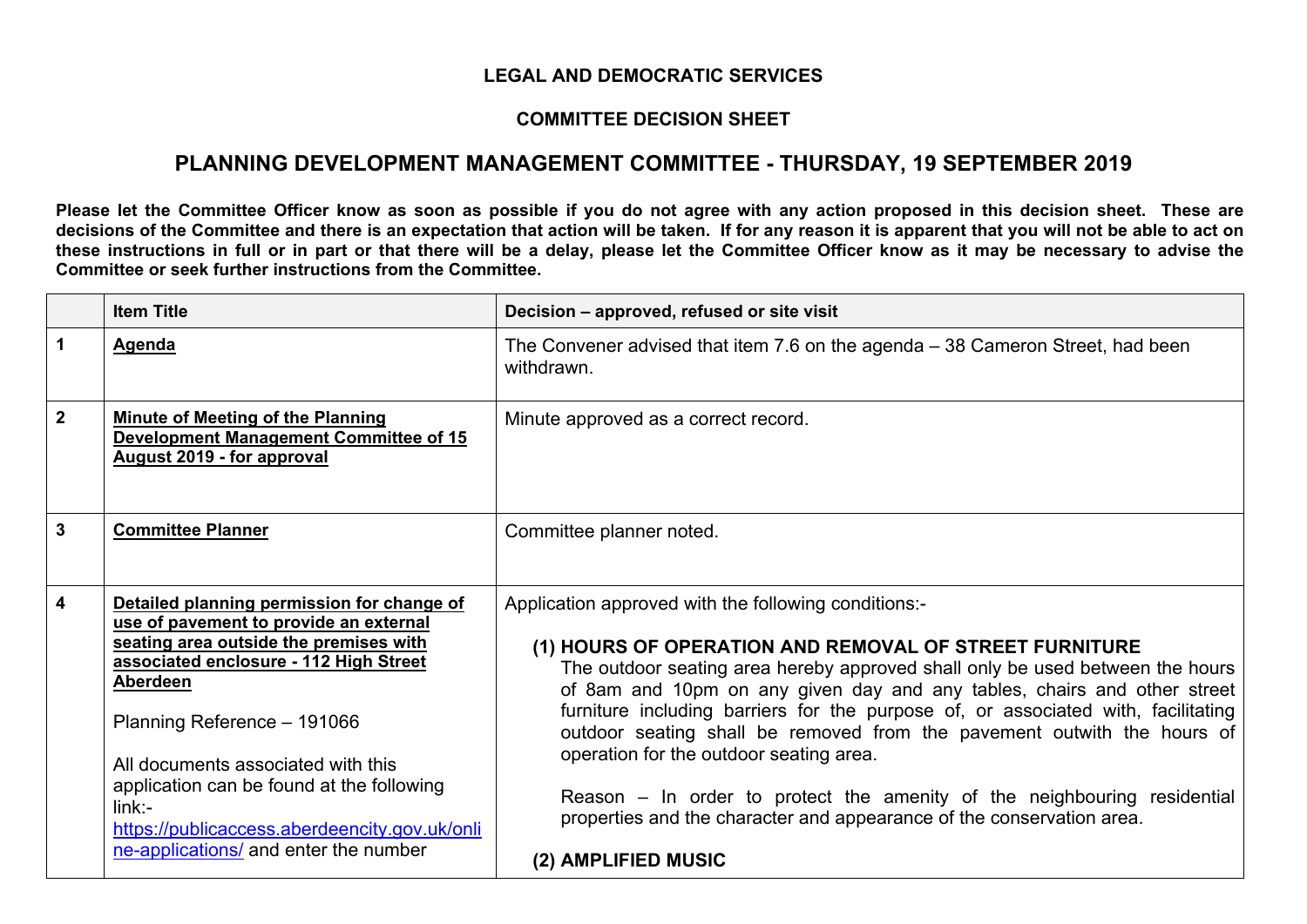## **LEGAL AND DEMOCRATIC SERVICES**

## **COMMITTEE DECISION SHEET**

## **PLANNING DEVELOPMENT MANAGEMENT COMMITTEE - THURSDAY, 19 SEPTEMBER 2019**

Please let the Committee Officer know as soon as possible if you do not agree with any action proposed in this decision sheet. These are decisions of the Committee and there is an expectation that action will be taken. If for any reason it is apparent that you will not be able to act on these instructions in full or in part or that there will be a delay, please let the Committee Officer know as it may be necessary to advise the **Committee or seek further instructions from the Committee.**

|              | <b>Item Title</b>                                                                                                                                                                                                                                                                                                                                                                                            | Decision - approved, refused or site visit                                                                                                                                                                                                                                                                                                                                                                                                                                                                                                                                                                                                                         |
|--------------|--------------------------------------------------------------------------------------------------------------------------------------------------------------------------------------------------------------------------------------------------------------------------------------------------------------------------------------------------------------------------------------------------------------|--------------------------------------------------------------------------------------------------------------------------------------------------------------------------------------------------------------------------------------------------------------------------------------------------------------------------------------------------------------------------------------------------------------------------------------------------------------------------------------------------------------------------------------------------------------------------------------------------------------------------------------------------------------------|
| 1            | <b>Agenda</b>                                                                                                                                                                                                                                                                                                                                                                                                | The Convener advised that item 7.6 on the agenda – 38 Cameron Street, had been<br>withdrawn.                                                                                                                                                                                                                                                                                                                                                                                                                                                                                                                                                                       |
| $\mathbf{2}$ | <b>Minute of Meeting of the Planning</b><br><b>Development Management Committee of 15</b><br>August 2019 - for approval                                                                                                                                                                                                                                                                                      | Minute approved as a correct record.                                                                                                                                                                                                                                                                                                                                                                                                                                                                                                                                                                                                                               |
| $\mathbf{3}$ | <b>Committee Planner</b>                                                                                                                                                                                                                                                                                                                                                                                     | Committee planner noted.                                                                                                                                                                                                                                                                                                                                                                                                                                                                                                                                                                                                                                           |
| 4            | Detailed planning permission for change of<br>use of pavement to provide an external<br>seating area outside the premises with<br>associated enclosure - 112 High Street<br>Aberdeen<br>Planning Reference - 191066<br>All documents associated with this<br>application can be found at the following<br>$link -$<br>https://publicaccess.aberdeencity.gov.uk/onli<br>ne-applications/ and enter the number | Application approved with the following conditions:-<br>(1) HOURS OF OPERATION AND REMOVAL OF STREET FURNITURE<br>The outdoor seating area hereby approved shall only be used between the hours<br>of 8am and 10pm on any given day and any tables, chairs and other street<br>furniture including barriers for the purpose of, or associated with, facilitating<br>outdoor seating shall be removed from the pavement outwith the hours of<br>operation for the outdoor seating area.<br>Reason – In order to protect the amenity of the neighbouring residential<br>properties and the character and appearance of the conservation area.<br>(2) AMPLIFIED MUSIC |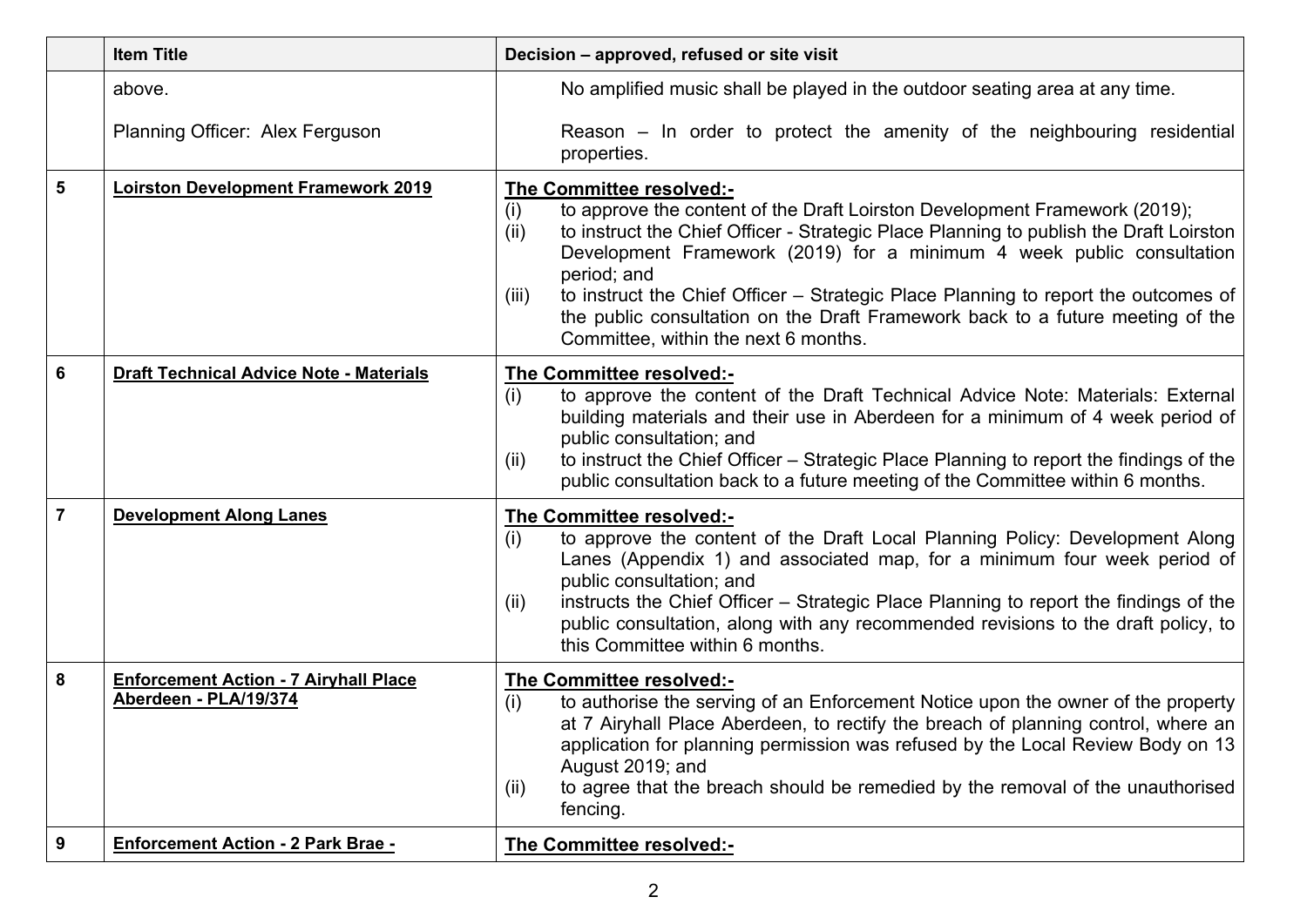|   | <b>Item Title</b>                                                     | Decision - approved, refused or site visit                                                                                                                                                                                                                                                                                                                                                                                                                                                                                       |
|---|-----------------------------------------------------------------------|----------------------------------------------------------------------------------------------------------------------------------------------------------------------------------------------------------------------------------------------------------------------------------------------------------------------------------------------------------------------------------------------------------------------------------------------------------------------------------------------------------------------------------|
|   | above.                                                                | No amplified music shall be played in the outdoor seating area at any time.                                                                                                                                                                                                                                                                                                                                                                                                                                                      |
|   | Planning Officer: Alex Ferguson                                       | Reason $-$ In order to protect the amenity of the neighbouring residential<br>properties.                                                                                                                                                                                                                                                                                                                                                                                                                                        |
| 5 | <b>Loirston Development Framework 2019</b>                            | The Committee resolved:-<br>to approve the content of the Draft Loirston Development Framework (2019);<br>(i)<br>to instruct the Chief Officer - Strategic Place Planning to publish the Draft Loirston<br>(ii)<br>Development Framework (2019) for a minimum 4 week public consultation<br>period; and<br>to instruct the Chief Officer – Strategic Place Planning to report the outcomes of<br>(iii)<br>the public consultation on the Draft Framework back to a future meeting of the<br>Committee, within the next 6 months. |
| 6 | <b>Draft Technical Advice Note - Materials</b>                        | The Committee resolved:-<br>to approve the content of the Draft Technical Advice Note: Materials: External<br>(i)<br>building materials and their use in Aberdeen for a minimum of 4 week period of<br>public consultation; and<br>to instruct the Chief Officer – Strategic Place Planning to report the findings of the<br>(ii)<br>public consultation back to a future meeting of the Committee within 6 months.                                                                                                              |
| 7 | <b>Development Along Lanes</b>                                        | The Committee resolved:-<br>(i)<br>to approve the content of the Draft Local Planning Policy: Development Along<br>Lanes (Appendix 1) and associated map, for a minimum four week period of<br>public consultation; and<br>instructs the Chief Officer – Strategic Place Planning to report the findings of the<br>(ii)<br>public consultation, along with any recommended revisions to the draft policy, to<br>this Committee within 6 months.                                                                                  |
| 8 | <b>Enforcement Action - 7 Airyhall Place</b><br>Aberdeen - PLA/19/374 | The Committee resolved:-<br>to authorise the serving of an Enforcement Notice upon the owner of the property<br>(i)<br>at 7 Airyhall Place Aberdeen, to rectify the breach of planning control, where an<br>application for planning permission was refused by the Local Review Body on 13<br>August 2019; and<br>to agree that the breach should be remedied by the removal of the unauthorised<br>(ii)<br>fencing.                                                                                                             |
| 9 | <b>Enforcement Action - 2 Park Brae -</b>                             | The Committee resolved:-                                                                                                                                                                                                                                                                                                                                                                                                                                                                                                         |